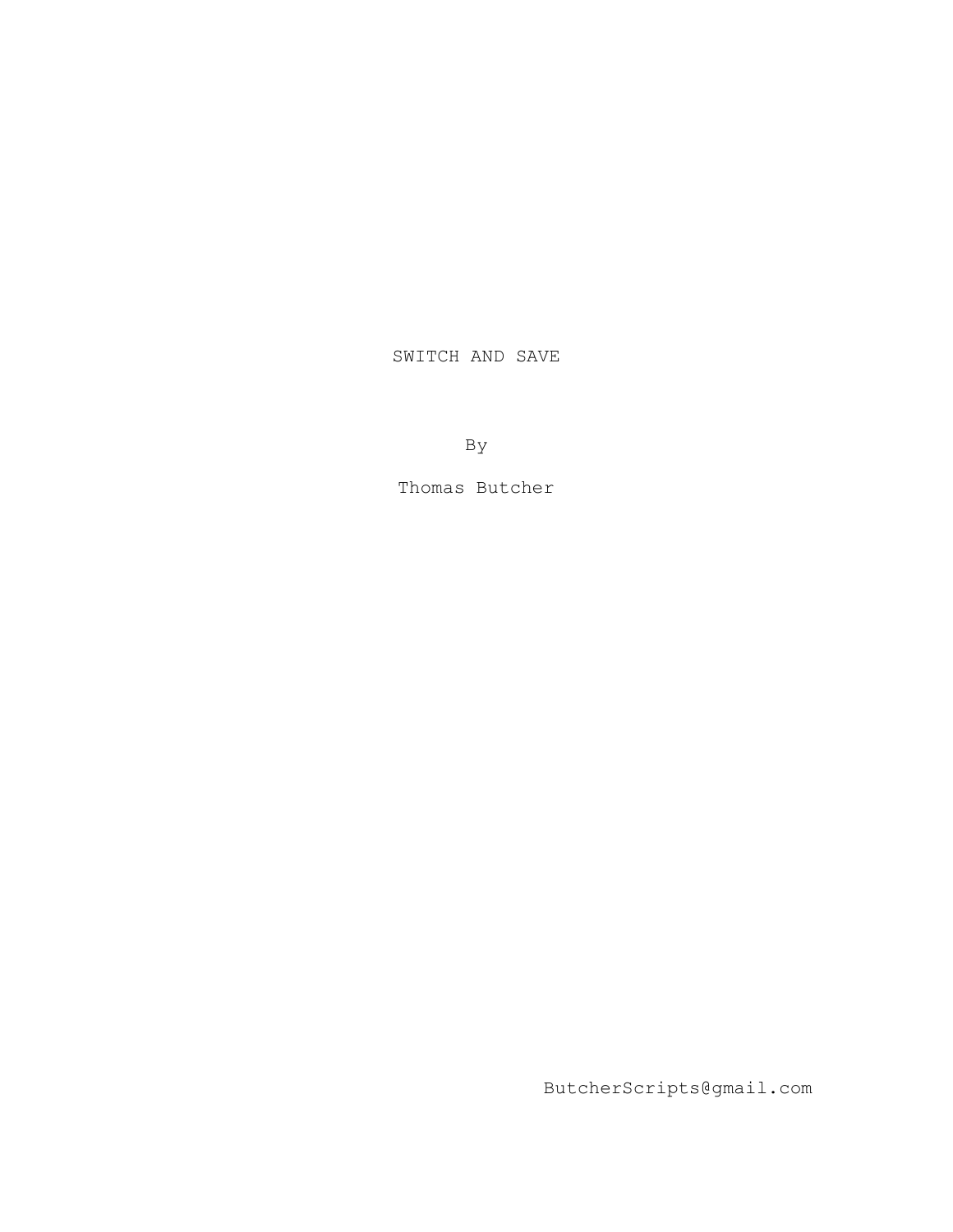## SWITCH AND SAVE

By

Thomas Butcher

ButcherScripts@gmail.com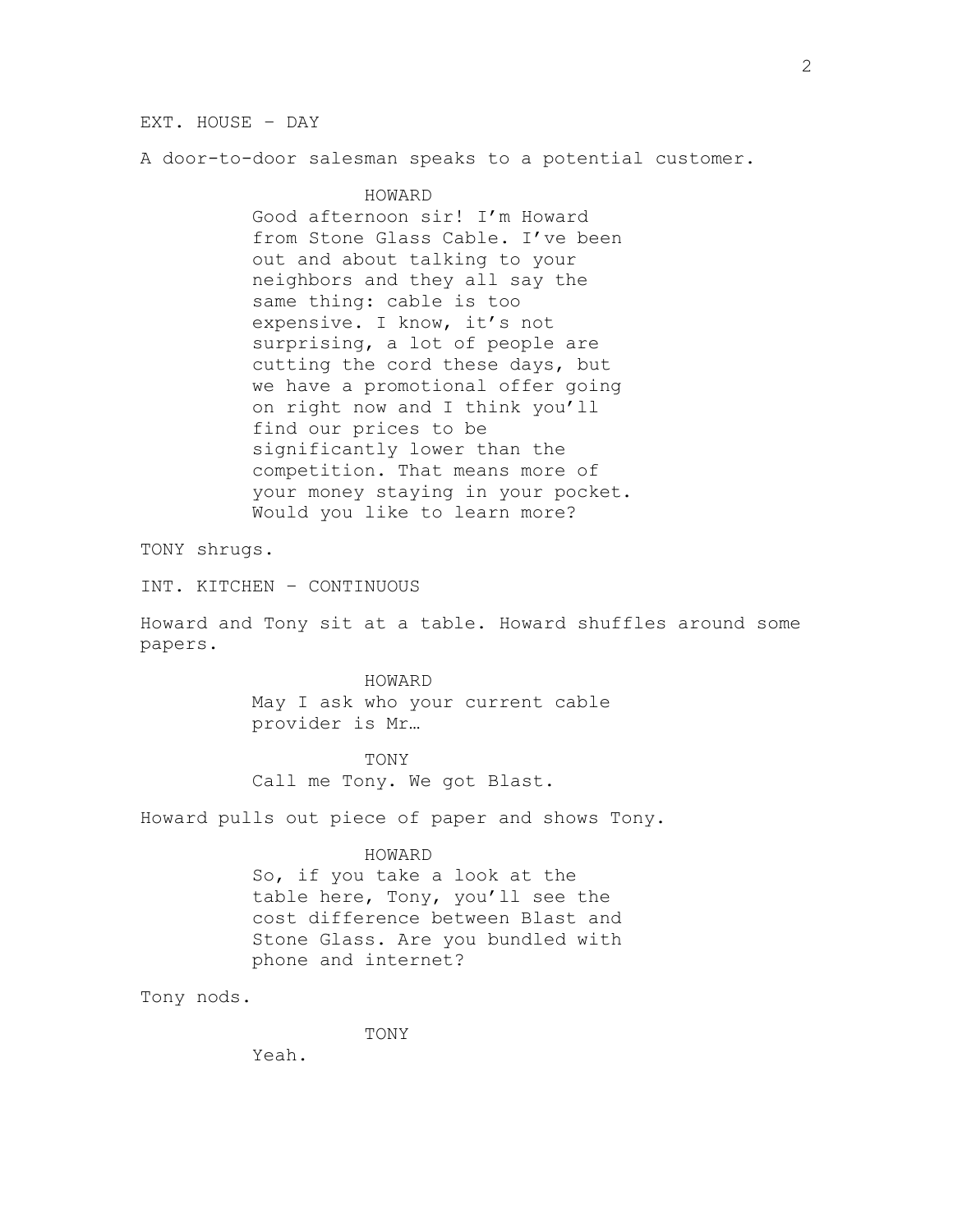EXT. HOUSE – DAY

A door-to-door salesman speaks to a potential customer.

HOWARD Good afternoon sir! I'm Howard from Stone Glass Cable. I've been out and about talking to your neighbors and they all say the same thing: cable is too expensive. I know, it's not surprising, a lot of people are cutting the cord these days, but we have a promotional offer going on right now and I think you'll find our prices to be significantly lower than the competition. That means more of your money staying in your pocket. Would you like to learn more?

TONY shrugs.

INT. KITCHEN – CONTINUOUS

Howard and Tony sit at a table. Howard shuffles around some papers.

## HOWARD

May I ask who your current cable provider is Mr…

TONY Call me Tony. We got Blast.

Howard pulls out piece of paper and shows Tony.

## HOWARD

So, if you take a look at the table here, Tony, you'll see the cost difference between Blast and Stone Glass. Are you bundled with phone and internet?

Tony nods.

TONY

Yeah.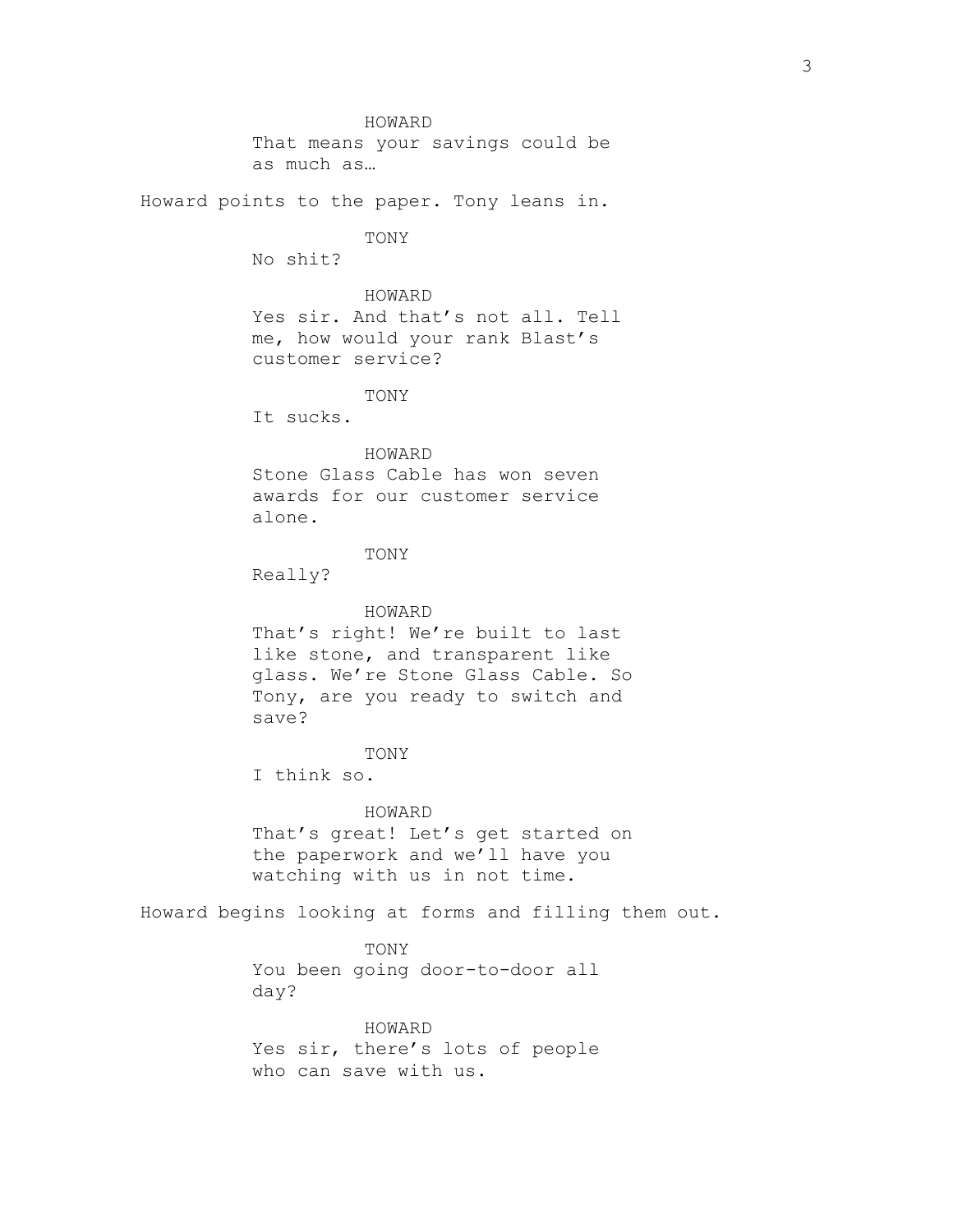HOWARD That means your savings could be as much as… Howard points to the paper. Tony leans in. TONY No shit? HOWARD Yes sir. And that's not all. Tell me, how would your rank Blast's customer service? TONY It sucks. HOWARD Stone Glass Cable has won seven awards for our customer service alone. TONY Really? HOWARD That's right! We're built to last like stone, and transparent like glass. We're Stone Glass Cable. So Tony, are you ready to switch and save? TONY I think so. HOWARD That's great! Let's get started on the paperwork and we'll have you watching with us in not time.

Howard begins looking at forms and filling them out.

TONY You been going door-to-door all day?

HOWARD Yes sir, there's lots of people who can save with us.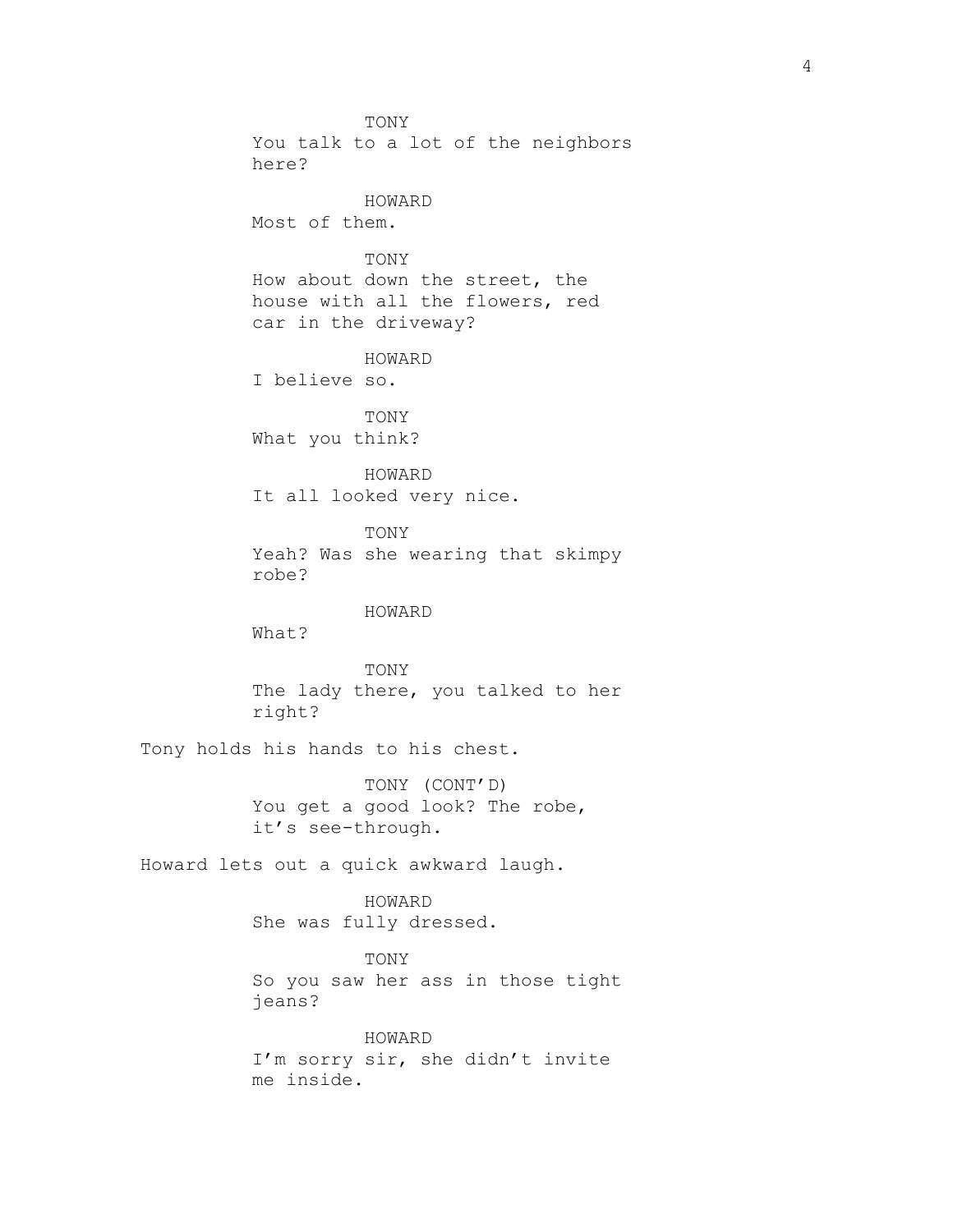TONY You talk to a lot of the neighbors here? HOWARD Most of them. TONY How about down the street, the house with all the flowers, red car in the driveway? HOWARD I believe so. TONY What you think? HOWARD It all looked very nice. TONY Yeah? Was she wearing that skimpy robe? HOWARD What? TONY The lady there, you talked to her right? Tony holds his hands to his chest. TONY (CONT'D) You get a good look? The robe, it's see-through. Howard lets out a quick awkward laugh. HOWARD She was fully dressed. TONY So you saw her ass in those tight jeans? HOWARD I'm sorry sir, she didn't invite me inside.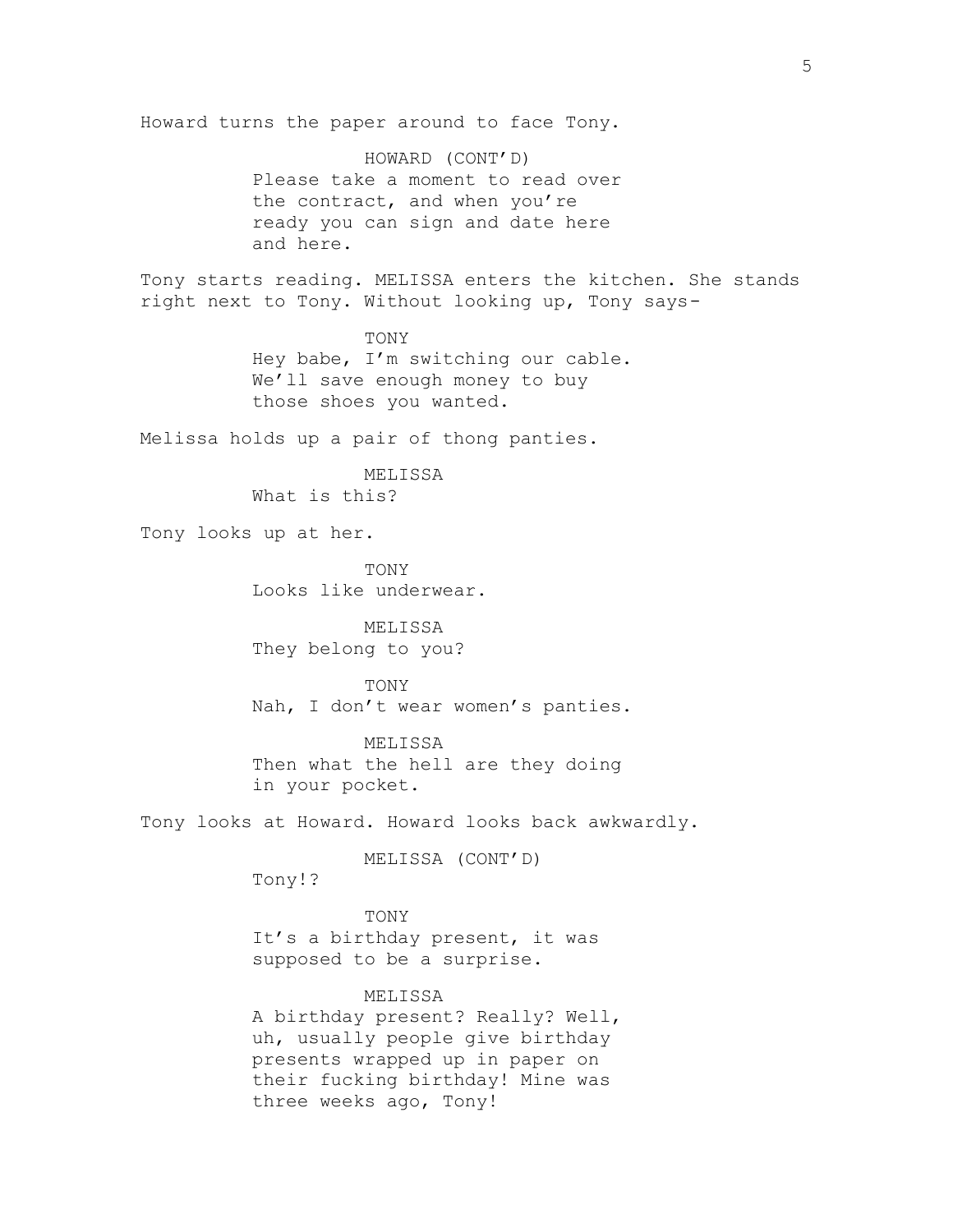Howard turns the paper around to face Tony. HOWARD (CONT'D) Please take a moment to read over the contract, and when you're ready you can sign and date here and here. Tony starts reading. MELISSA enters the kitchen. She stands right next to Tony. Without looking up, Tony says-**TONY** Hey babe, I'm switching our cable. We'll save enough money to buy those shoes you wanted. Melissa holds up a pair of thong panties. MELISSA What is this? Tony looks up at her. TONY Looks like underwear. MELISSA They belong to you? TONY Nah, I don't wear women's panties. MELISSA Then what the hell are they doing in your pocket. Tony looks at Howard. Howard looks back awkwardly. MELISSA (CONT'D) Tony!? TONY It's a birthday present, it was supposed to be a surprise. MELISSA A birthday present? Really? Well, uh, usually people give birthday presents wrapped up in paper on their fucking birthday! Mine was three weeks ago, Tony!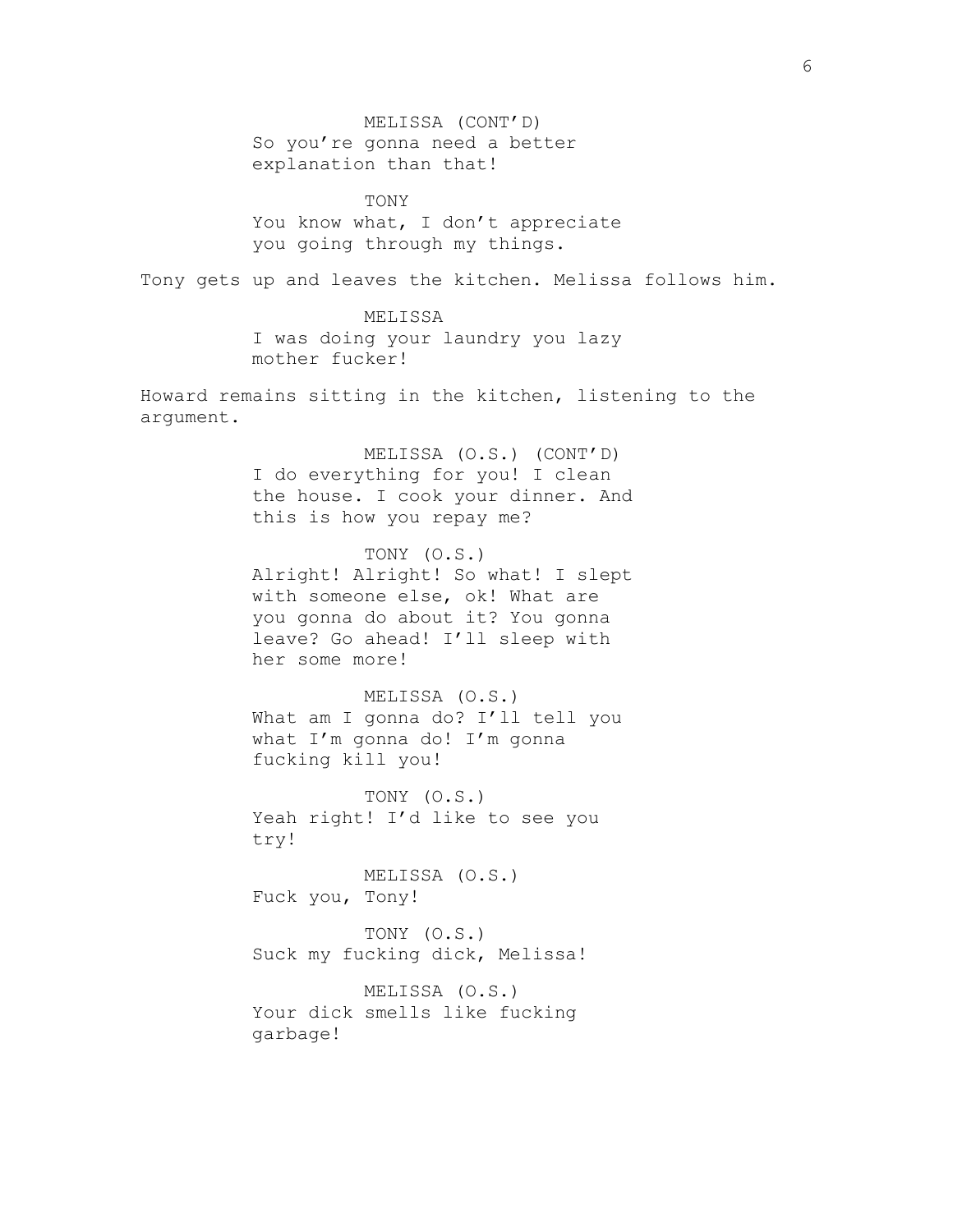MELISSA (CONT'D) So you're gonna need a better explanation than that! TONY You know what, I don't appreciate you going through my things. Tony gets up and leaves the kitchen. Melissa follows him. MELISSA I was doing your laundry you lazy mother fucker! Howard remains sitting in the kitchen, listening to the argument. MELISSA (O.S.) (CONT'D) I do everything for you! I clean the house. I cook your dinner. And this is how you repay me? TONY (O.S.) Alright! Alright! So what! I slept with someone else, ok! What are you gonna do about it? You gonna leave? Go ahead! I'll sleep with her some more! MELISSA (O.S.) What am I gonna do? I'll tell you what I'm gonna do! I'm gonna fucking kill you! TONY (O.S.) Yeah right! I'd like to see you try! MELISSA (O.S.) Fuck you, Tony! TONY (O.S.) Suck my fucking dick, Melissa! MELISSA (O.S.) Your dick smells like fucking garbage!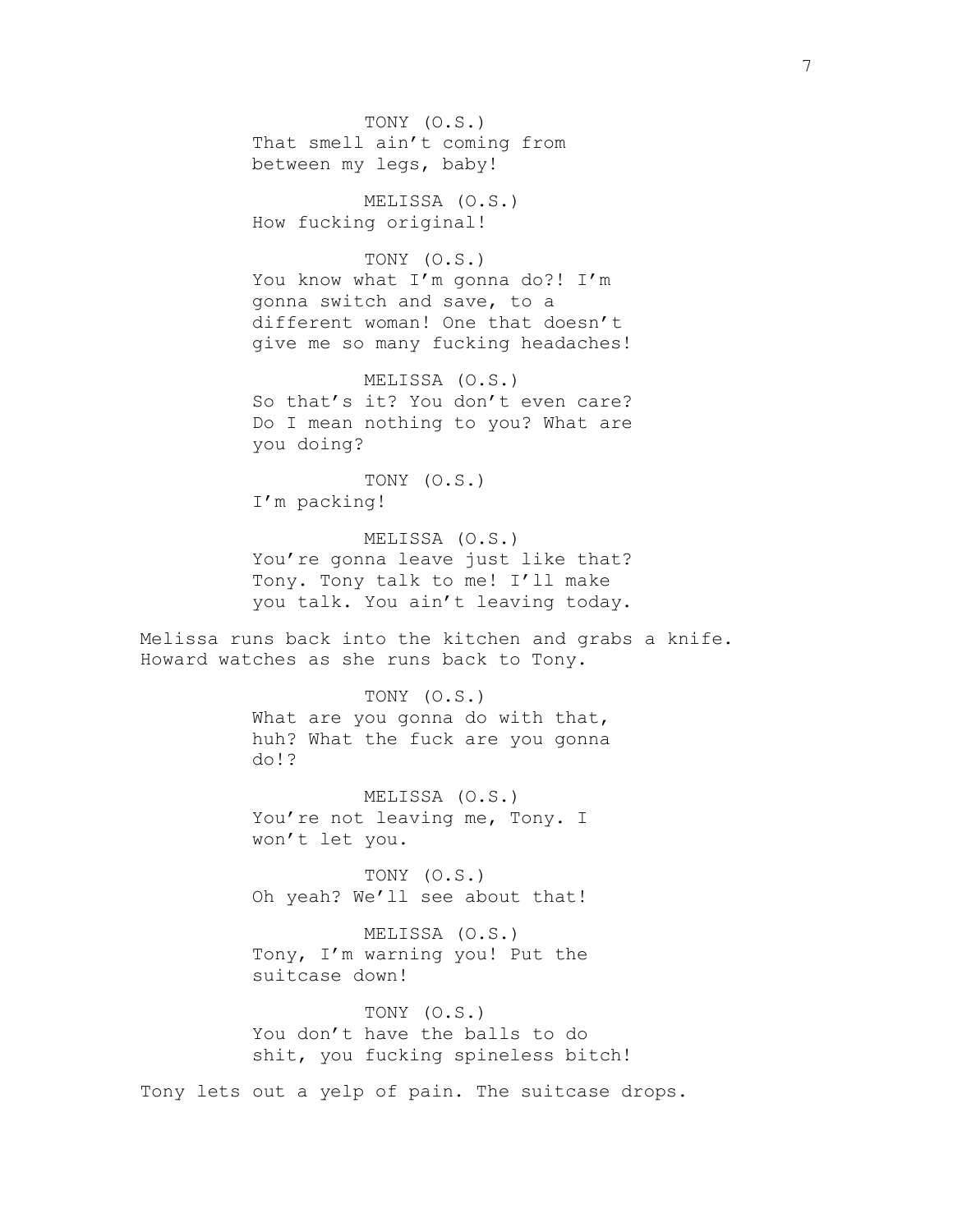TONY (O.S.) That smell ain't coming from between my legs, baby!

MELISSA (O.S.) How fucking original!

TONY (O.S.) You know what I'm gonna do?! I'm gonna switch and save, to a different woman! One that doesn't give me so many fucking headaches!

MELISSA (O.S.) So that's it? You don't even care? Do I mean nothing to you? What are you doing?

TONY (O.S.) I'm packing!

MELISSA (O.S.) You're gonna leave just like that? Tony. Tony talk to me! I'll make you talk. You ain't leaving today.

Melissa runs back into the kitchen and grabs a knife. Howard watches as she runs back to Tony.

> TONY (O.S.) What are you gonna do with that, huh? What the fuck are you gonna do!?

MELISSA (O.S.) You're not leaving me, Tony. I won't let you.

TONY (O.S.) Oh yeah? We'll see about that!

MELISSA (O.S.) Tony, I'm warning you! Put the suitcase down!

TONY (O.S.) You don't have the balls to do shit, you fucking spineless bitch!

Tony lets out a yelp of pain. The suitcase drops.